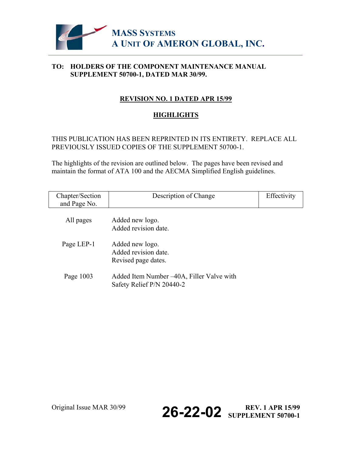

#### **TO: HOLDERS OF THE COMPONENT MAINTENANCE MANUAL SUPPLEMENT 50700-1, DATED MAR 30/99.**

#### **REVISION NO. 1 DATED APR 15/99**

#### **HIGHLIGHTS**

#### THIS PUBLICATION HAS BEEN REPRINTED IN ITS ENTIRETY. REPLACE ALL PREVIOUSLY ISSUED COPIES OF THE SUPPLEMENT 50700-1.

The highlights of the revision are outlined below. The pages have been revised and maintain the format of ATA 100 and the AECMA Simplified English guidelines.

| Chapter/Section | Description of Change                                                  | Effectivity |
|-----------------|------------------------------------------------------------------------|-------------|
| and Page No.    |                                                                        |             |
| All pages       | Added new logo.<br>Added revision date.                                |             |
| Page LEP-1      | Added new logo.<br>Added revision date.<br>Revised page dates.         |             |
| Page 1003       | Added Item Number –40A, Filler Valve with<br>Safety Relief P/N 20440-2 |             |

Original Issue MAR 30/99 **26-22-02 REV. 1 APR 15/99 SUPPLEMENT 50700-1**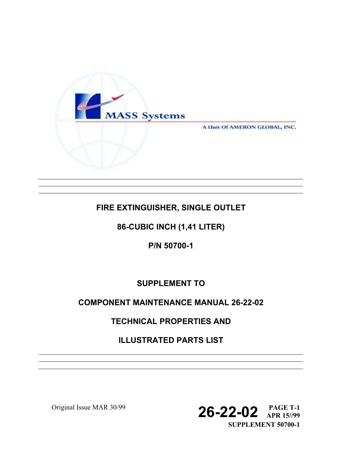

A Unit Of AMERON GLOBAL, INC.

### **FIRE EXTINGUISHER, SINGLE OUTLET**

### **86-CUBIC INCH (1,41 LITER)**

### **P/N 50700-1**

### **SUPPLEMENT TO**

### **COMPONENT MAINTENANCE MANUAL 26-22-02**

# **TECHNICAL PROPERTIES AND**

# **ILLUSTRATED PARTS LIST**

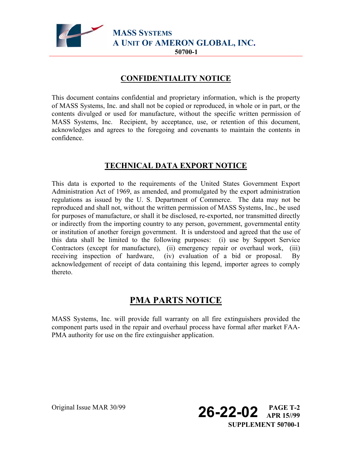

**50700-1**

#### **CONFIDENTIALITY NOTICE**

This document contains confidential and proprietary information, which is the property of MASS Systems, Inc. and shall not be copied or reproduced, in whole or in part, or the contents divulged or used for manufacture, without the specific written permission of MASS Systems, Inc. Recipient, by acceptance, use, or retention of this document, acknowledges and agrees to the foregoing and covenants to maintain the contents in confidence.

#### **TECHNICAL DATA EXPORT NOTICE**

This data is exported to the requirements of the United States Government Export Administration Act of 1969, as amended, and promulgated by the export administration regulations as issued by the U. S. Department of Commerce. The data may not be reproduced and shall not, without the written permission of MASS Systems, Inc., be used for purposes of manufacture, or shall it be disclosed, re-exported, nor transmitted directly or indirectly from the importing country to any person, government, governmental entity or institution of another foreign government. It is understood and agreed that the use of this data shall be limited to the following purposes: (i) use by Support Service Contractors (except for manufacture), (ii) emergency repair or overhaul work, (iii) receiving inspection of hardware, (iv) evaluation of a bid or proposal. By acknowledgement of receipt of data containing this legend, importer agrees to comply thereto.

# **PMA PARTS NOTICE**

MASS Systems, Inc. will provide full warranty on all fire extinguishers provided the component parts used in the repair and overhaul process have formal after market FAA-PMA authority for use on the fire extinguisher application.

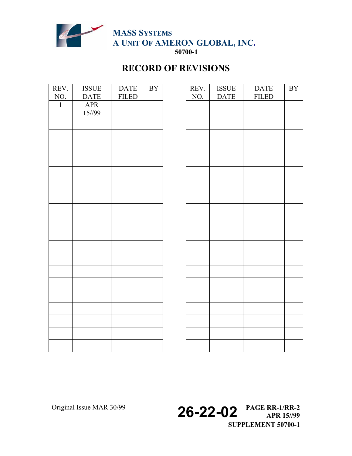

### **RECORD OF REVISIONS**

| REV.<br>NO.<br><b>FILED</b><br><b>DATE</b><br>$\overline{1}$<br><b>APR</b><br>15//99 |
|--------------------------------------------------------------------------------------|
|                                                                                      |
|                                                                                      |
|                                                                                      |
|                                                                                      |
|                                                                                      |
|                                                                                      |
|                                                                                      |
|                                                                                      |
|                                                                                      |
|                                                                                      |
|                                                                                      |
|                                                                                      |
|                                                                                      |
|                                                                                      |
|                                                                                      |
|                                                                                      |
|                                                                                      |
|                                                                                      |
|                                                                                      |
|                                                                                      |
|                                                                                      |
|                                                                                      |
|                                                                                      |
|                                                                                      |
|                                                                                      |
|                                                                                      |
|                                                                                      |
|                                                                                      |
|                                                                                      |

| $\overline{BY}$ | REV.<br>NO. | $\operatorname{ISSUE}$ | <b>DATE</b>  | ${\rm BY}$ |
|-----------------|-------------|------------------------|--------------|------------|
|                 |             | <b>DATE</b>            | <b>FILED</b> |            |
|                 |             |                        |              |            |
|                 |             |                        |              |            |
|                 |             |                        |              |            |
|                 |             |                        |              |            |
|                 |             |                        |              |            |
|                 |             |                        |              |            |
|                 |             |                        |              |            |
|                 |             |                        |              |            |
|                 |             |                        |              |            |
|                 |             |                        |              |            |
|                 |             |                        |              |            |
|                 |             |                        |              |            |
|                 |             |                        |              |            |
|                 |             |                        |              |            |
|                 |             |                        |              |            |
|                 |             |                        |              |            |
|                 |             |                        |              |            |
|                 |             |                        |              |            |
|                 |             |                        |              |            |
|                 |             |                        |              |            |

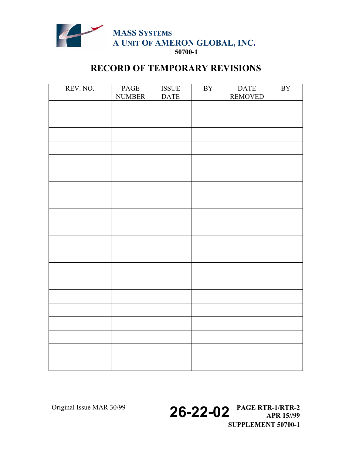

# **RECORD OF TEMPORARY REVISIONS**

| REV. NO. | $\overline{\mathsf{PAGE}}$ | <b>ISSUE</b>    | BY | <b>DATE</b>    | $\rm BY$ |
|----------|----------------------------|-----------------|----|----------------|----------|
|          | <b>NUMBER</b>              | $\mathbf{DATE}$ |    | <b>REMOVED</b> |          |
|          |                            |                 |    |                |          |
|          |                            |                 |    |                |          |
|          |                            |                 |    |                |          |
|          |                            |                 |    |                |          |
|          |                            |                 |    |                |          |
|          |                            |                 |    |                |          |
|          |                            |                 |    |                |          |
|          |                            |                 |    |                |          |
|          |                            |                 |    |                |          |
|          |                            |                 |    |                |          |
|          |                            |                 |    |                |          |
|          |                            |                 |    |                |          |
|          |                            |                 |    |                |          |
|          |                            |                 |    |                |          |
|          |                            |                 |    |                |          |
|          |                            |                 |    |                |          |
|          |                            |                 |    |                |          |
|          |                            |                 |    |                |          |
|          |                            |                 |    |                |          |
|          |                            |                 |    |                |          |
|          |                            |                 |    |                |          |
|          |                            |                 |    |                |          |
|          |                            |                 |    |                |          |
|          |                            |                 |    |                |          |
|          |                            |                 |    |                |          |
|          |                            |                 |    |                |          |
|          |                            |                 |    |                |          |
|          |                            |                 |    |                |          |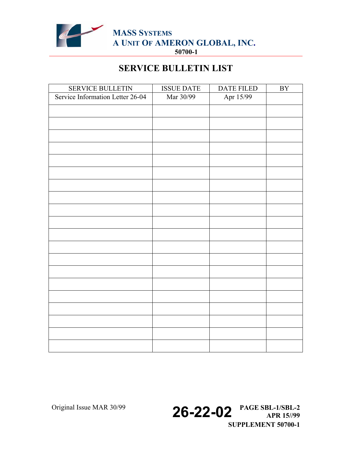

**50700-1**

# **SERVICE BULLETIN LIST**

| <b>SERVICE BULLETIN</b>          | <b>ISSUE DATE</b> | DATE FILED | $\rm BY$ |
|----------------------------------|-------------------|------------|----------|
| Service Information Letter 26-04 | Mar 30/99         | Apr 15/99  |          |
|                                  |                   |            |          |
|                                  |                   |            |          |
|                                  |                   |            |          |
|                                  |                   |            |          |
|                                  |                   |            |          |
|                                  |                   |            |          |
|                                  |                   |            |          |
|                                  |                   |            |          |
|                                  |                   |            |          |
|                                  |                   |            |          |
|                                  |                   |            |          |
|                                  |                   |            |          |
|                                  |                   |            |          |
|                                  |                   |            |          |
|                                  |                   |            |          |
|                                  |                   |            |          |
|                                  |                   |            |          |
|                                  |                   |            |          |
|                                  |                   |            |          |
|                                  |                   |            |          |
|                                  |                   |            |          |
|                                  |                   |            |          |
|                                  |                   |            |          |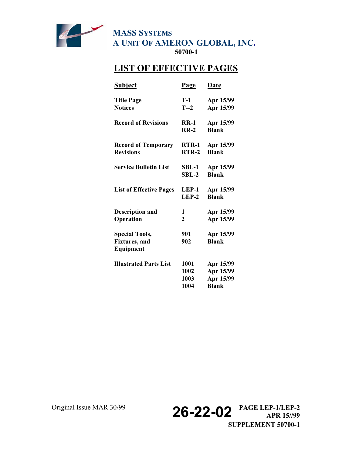

**A UNIT OF AMERON GLOBAL, INC.**

**50700-1**

# **LIST OF EFFECTIVE PAGES**

| <u>Subject</u>                                              | Page                         | <u>Date</u>                                         |
|-------------------------------------------------------------|------------------------------|-----------------------------------------------------|
| <b>Title Page</b><br><b>Notices</b>                         | $T-1$<br>$T-2$               | Apr 15/99<br>Apr 15/99                              |
| <b>Record of Revisions</b>                                  | <b>RR-1</b><br>$RR-2$        | Apr 15/99<br><b>Blank</b>                           |
| <b>Record of Temporary</b><br><b>Revisions</b>              | RTR-1<br>$RTR-2$             | Apr 15/99<br><b>Blank</b>                           |
| <b>Service Bulletin List</b>                                | SBL-1<br>$SBL-2$             | Apr 15/99<br><b>Blank</b>                           |
| <b>List of Effective Pages</b>                              | LEP-1<br>LEP-2               | Apr 15/99<br><b>Blank</b>                           |
| <b>Description and</b><br>Operation                         | 1<br>$\mathbf{2}$            | Apr 15/99<br>Apr 15/99                              |
| <b>Special Tools,</b><br><b>Fixtures</b> , and<br>Equipment | 901<br>902                   | Apr 15/99<br><b>Blank</b>                           |
| <b>Illustrated Parts List</b>                               | 1001<br>1002<br>1003<br>1004 | Apr 15/99<br>Apr 15/99<br>Apr 15/99<br><b>Blank</b> |

Original Issue MAR 30/99 **26-22-02 PAGE LEP-1/LEP-2 APR 15//99 SUPPLEMENT 50700-1**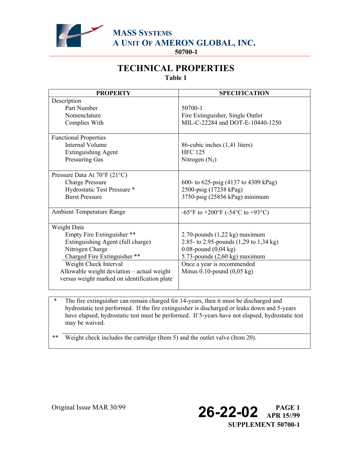

**50700-1**

# **TECHNICAL PROPERTIES**

**Table 1** 

| <b>PROPERTY</b>                              | <b>SPECIFICATION</b>                    |  |
|----------------------------------------------|-----------------------------------------|--|
| Description                                  |                                         |  |
| Part Number                                  | 50700-1                                 |  |
| Nomenclature                                 | Fire Extinguisher, Single Outlet        |  |
| Complies With                                | MIL-C-22284 and DOT-E-10440-1250        |  |
|                                              |                                         |  |
| <b>Functional Properties</b>                 |                                         |  |
| <b>Internal Volume</b>                       | 86-cubic inches (1,41 liters)           |  |
| <b>Extinguishing Agent</b>                   | <b>HFC 125</b>                          |  |
| <b>Pressuring Gas</b>                        | Nitrogen $(N_2)$                        |  |
| Pressure Data At $70^{\circ}$ F (21°C)       |                                         |  |
| <b>Charge Pressure</b>                       | 600- to 625-psig (4137 to 4309 kPag)    |  |
| Hydrostatic Test Pressure *                  | 2500-psig (17238 kPag)                  |  |
| <b>Burst Pressure</b>                        | 3750-psig (25856 kPag) minimum          |  |
|                                              |                                         |  |
| <b>Ambient Temperature Range</b>             | -65°F to +200°F (-54°C to +93°C)        |  |
|                                              |                                         |  |
| Weight Data                                  |                                         |  |
| Empty Fire Extinguisher **                   | 2.70-pounds $(1,22 \text{ kg})$ maximum |  |
| Extinguishing Agent (full charge)            | 2.85- to 2.95-pounds (1,29 to 1,34 kg)  |  |
| Nitrogen Charge                              | 0.08-pound $(0,04 \text{ kg})$          |  |
| Charged Fire Extinguisher **                 | 5.73-pounds $(2,60 \text{ kg})$ maximum |  |
| Weight Check Interval                        | Once a year is recommended              |  |
| Allowable weight deviation - actual weight   | Minus $0.10$ -pound $(0.05 \text{ kg})$ |  |
| versus weight marked on identification plate |                                         |  |
|                                              |                                         |  |

\* The fire extinguisher can remain charged for 14-years, then it must be discharged and hydrostatic test performed. If the fire extinguisher is discharged or leaks down and 5-years have elapsed, hydrostatic test must be performed. If 5-years have not elapsed, hydrostatic test may be waived.

\*\* Weight check includes the cartridge (Item 5) and the outlet valve (Item 20).

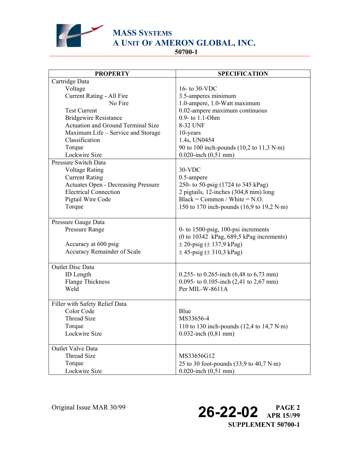

**50700-1**

| <b>PROPERTY</b>                            | <b>SPECIFICATION</b>                                                    |  |
|--------------------------------------------|-------------------------------------------------------------------------|--|
| Cartridge Data                             |                                                                         |  |
| Voltage                                    | 16- to 30-VDC                                                           |  |
| Current Rating - All Fire                  | 3.5-amperes minimum                                                     |  |
| No Fire                                    | 1.0-ampere, 1.0-Watt maximum                                            |  |
| <b>Test Current</b>                        | 0.02-ampere maximum continuous                                          |  |
| <b>Bridgewire Resistance</b>               | 0.9- to 1.1-Ohm                                                         |  |
| <b>Actuation and Ground Terminal Size</b>  | 8-32 UNF                                                                |  |
| Maximum Life – Service and Storage         | 10-years                                                                |  |
| Classification                             | 1.4s, UN0454                                                            |  |
| Torque                                     | 90 to 100 inch-pounds (10,2 to 11,3 N·m)                                |  |
| Lockwire Size                              | $0.020$ -inch $(0,51$ mm)                                               |  |
| Pressure Switch Data                       |                                                                         |  |
| <b>Voltage Rating</b>                      | 30-VDC                                                                  |  |
| <b>Current Rating</b>                      | 0.5-ampere                                                              |  |
| <b>Actuates Open - Decreasing Pressure</b> | 250- to 50-psig (1724 to 345 kPag)                                      |  |
| <b>Electrical Connection</b>               | 2 pigtails, 12-inches (304,8 mm) long                                   |  |
| Pigtail Wire Code                          | $Black = Common / White = N.O.$                                         |  |
| Torque                                     | 150 to 170 inch-pounds (16,9 to 19,2 N·m)                               |  |
|                                            |                                                                         |  |
| Pressure Gauge Data                        |                                                                         |  |
| <b>Pressure Range</b>                      | 0- to 1500-psig, 100-psi increments                                     |  |
|                                            | $(0 to 10342 kPag, 689, 5 kPag increments)$                             |  |
| Accuracy at 600 psig                       | $\pm$ 20-psig ( $\pm$ 137,9 kPag)                                       |  |
| Accuracy Remainder of Scale                | $\pm$ 45-psig ( $\pm$ 310,3 kPag)                                       |  |
|                                            |                                                                         |  |
| <b>Outlet Disc Data</b>                    |                                                                         |  |
| ID Length                                  | 0.255- to 0.265-inch $(6,48 \text{ to } 6,73 \text{ mm})$               |  |
| <b>Flange Thickness</b>                    | 0.095- to 0.105-inch (2,41 to 2,67 mm)                                  |  |
| Weld                                       | Per MIL-W-8611A                                                         |  |
| Filler with Safety Relief Data             |                                                                         |  |
| Color Code                                 | Blue                                                                    |  |
| <b>Thread Size</b>                         | MS33656-4                                                               |  |
| Torque                                     | 110 to 130 inch-pounds $(12,4 \text{ to } 14,7 \text{ N}\cdot\text{m})$ |  |
| Lockwire Size                              | $0.032$ -inch $(0.81$ mm)                                               |  |
|                                            |                                                                         |  |
| Outlet Valve Data                          |                                                                         |  |
| <b>Thread Size</b>                         | MS33656G12                                                              |  |
| Torque                                     | 25 to 30 foot-pounds (33,9 to 40,7 N·m)                                 |  |
| Lockwire Size                              | $0.020$ -inch $(0,51$ mm)                                               |  |

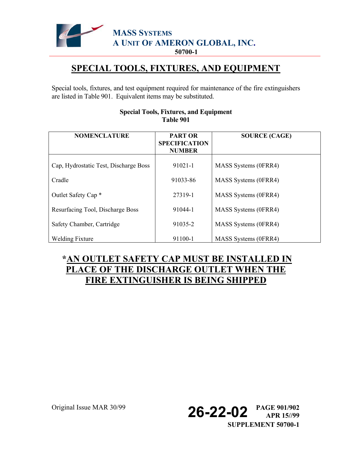

# **SPECIAL TOOLS, FIXTURES, AND EQUIPMENT**

Special tools, fixtures, and test equipment required for maintenance of the fire extinguishers are listed in Table 901. Equivalent items may be substituted.

| <b>NOMENCLATURE</b>                   | <b>PART OR</b><br><b>SPECIFICATION</b><br><b>NUMBER</b> | <b>SOURCE (CAGE)</b> |
|---------------------------------------|---------------------------------------------------------|----------------------|
| Cap, Hydrostatic Test, Discharge Boss | 91021-1                                                 | MASS Systems (0FRR4) |
| Cradle                                | 91033-86                                                | MASS Systems (0FRR4) |
| Outlet Safety Cap <sup>*</sup>        | 27319-1                                                 | MASS Systems (0FRR4) |
| Resurfacing Tool, Discharge Boss      | 91044-1                                                 | MASS Systems (0FRR4) |
| Safety Chamber, Cartridge             | 91035-2                                                 | MASS Systems (0FRR4) |
| <b>Welding Fixture</b>                | 91100-1                                                 | MASS Systems (0FRR4) |

#### **Special Tools, Fixtures, and Equipment Table 901**

# **\*AN OUTLET SAFETY CAP MUST BE INSTALLED IN PLACE OF THE DISCHARGE OUTLET WHEN THE FIRE EXTINGUISHER IS BEING SHIPPED**

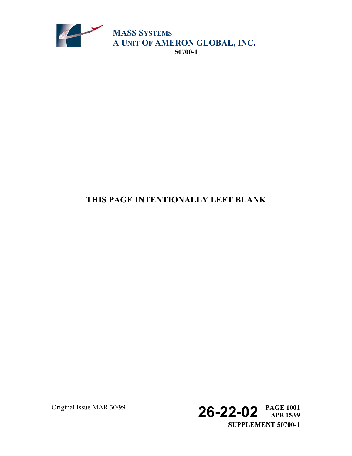

# **THIS PAGE INTENTIONALLY LEFT BLANK**

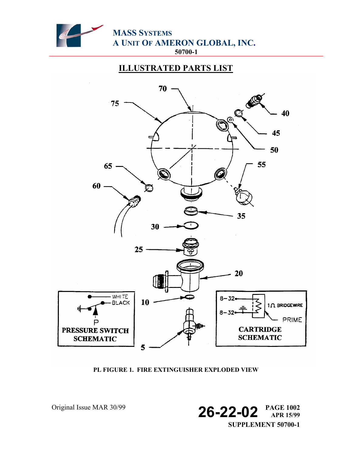





**PL FIGURE 1. FIRE EXTINGUISHER EXPLODED VIEW**